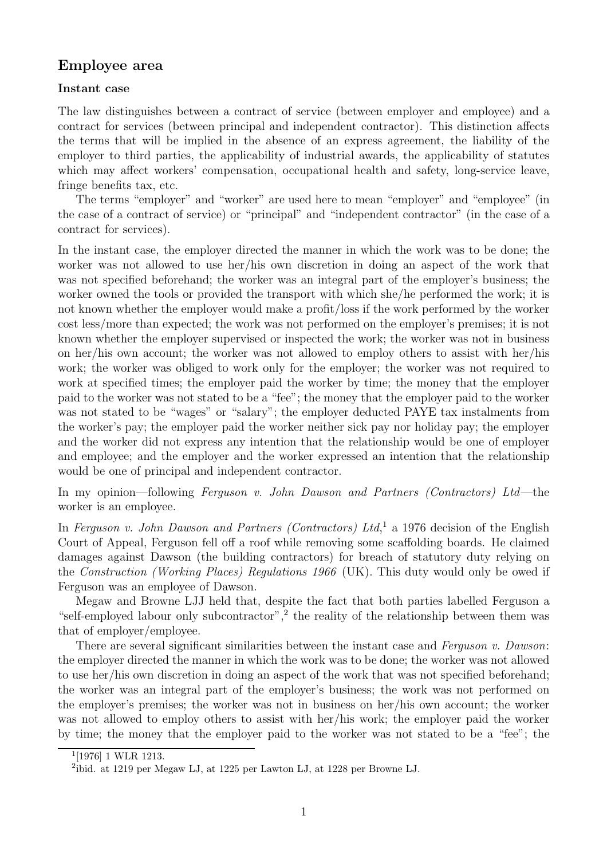# **Employee area**

### **Instant case**

The law distinguishes between a contract of service (between employer and employee) and a contract for services (between principal and independent contractor). This distinction affects the terms that will be implied in the absence of an express agreement, the liability of the employer to third parties, the applicability of industrial awards, the applicability of statutes which may affect workers' compensation, occupational health and safety, long-service leave, fringe benefits tax, etc.

The terms "employer" and "worker" are used here to mean "employer" and "employee" (in the case of a contract of service) or "principal" and "independent contractor" (in the case of a contract for services).

In the instant case, the employer directed the manner in which the work was to be done; the worker was not allowed to use her/his own discretion in doing an aspect of the work that was not specified beforehand; the worker was an integral part of the employer's business; the worker owned the tools or provided the transport with which she/he performed the work; it is not known whether the employer would make a profit/loss if the work performed by the worker cost less/more than expected; the work was not performed on the employer's premises; it is not known whether the employer supervised or inspected the work; the worker was not in business on her/his own account; the worker was not allowed to employ others to assist with her/his work; the worker was obliged to work only for the employer; the worker was not required to work at specified times; the employer paid the worker by time; the money that the employer paid to the worker was not stated to be a "fee"; the money that the employer paid to the worker was not stated to be "wages" or "salary"; the employer deducted PAYE tax instalments from the worker's pay; the employer paid the worker neither sick pay nor holiday pay; the employer and the worker did not express any intention that the relationship would be one of employer and employee; and the employer and the worker expressed an intention that the relationship would be one of principal and independent contractor.

In my opinion—following Ferguson v. John Dawson and Partners (Contractors) Ltd—the worker is an employee.

In Ferguson v. John Dawson and Partners (Contractors) Ltd,<sup>1</sup> a 1976 decision of the English Court of Appeal, Ferguson fell off a roof while removing some scaffolding boards. He claimed damages against Dawson (the building contractors) for breach of statutory duty relying on the Construction (Working Places) Regulations 1966 (UK). This duty would only be owed if Ferguson was an employee of Dawson.

Megaw and Browne LJJ held that, despite the fact that both parties labelled Ferguson a "self-employed labour only subcontractor",<sup>2</sup> the reality of the relationship between them was that of employer/employee.

There are several significant similarities between the instant case and Ferguson v. Dawson: the employer directed the manner in which the work was to be done; the worker was not allowed to use her/his own discretion in doing an aspect of the work that was not specified beforehand; the worker was an integral part of the employer's business; the work was not performed on the employer's premises; the worker was not in business on her/his own account; the worker was not allowed to employ others to assist with her/his work; the employer paid the worker by time; the money that the employer paid to the worker was not stated to be a "fee"; the

 $1$ [1976] 1 WLR 1213.

<sup>2</sup>ibid. at 1219 per Megaw LJ, at 1225 per Lawton LJ, at 1228 per Browne LJ.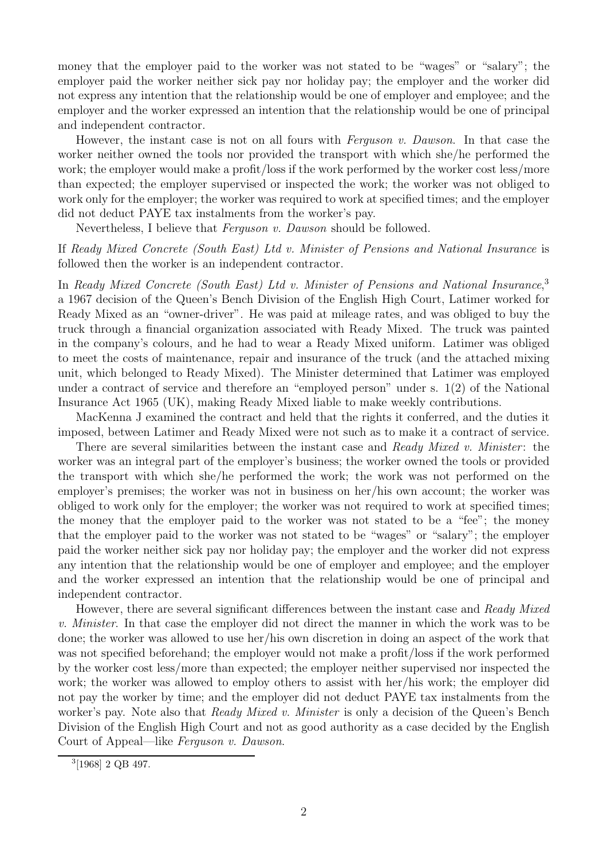money that the employer paid to the worker was not stated to be "wages" or "salary"; the employer paid the worker neither sick pay nor holiday pay; the employer and the worker did not express any intention that the relationship would be one of employer and employee; and the employer and the worker expressed an intention that the relationship would be one of principal and independent contractor.

However, the instant case is not on all fours with *Ferguson v. Dawson*. In that case the worker neither owned the tools nor provided the transport with which she/he performed the work; the employer would make a profit/loss if the work performed by the worker cost less/more than expected; the employer supervised or inspected the work; the worker was not obliged to work only for the employer; the worker was required to work at specified times; and the employer did not deduct PAYE tax instalments from the worker's pay.

Nevertheless, I believe that *Ferguson v. Dawson* should be followed.

# If Ready Mixed Concrete (South East) Ltd v. Minister of Pensions and National Insurance is followed then the worker is an independent contractor.

In Ready Mixed Concrete (South East) Ltd v. Minister of Pensions and National Insurance,<sup>3</sup> a 1967 decision of the Queen's Bench Division of the English High Court, Latimer worked for Ready Mixed as an "owner-driver". He was paid at mileage rates, and was obliged to buy the truck through a financial organization associated with Ready Mixed. The truck was painted in the company's colours, and he had to wear a Ready Mixed uniform. Latimer was obliged to meet the costs of maintenance, repair and insurance of the truck (and the attached mixing unit, which belonged to Ready Mixed). The Minister determined that Latimer was employed under a contract of service and therefore an "employed person" under s. 1(2) of the National Insurance Act 1965 (UK), making Ready Mixed liable to make weekly contributions.

MacKenna J examined the contract and held that the rights it conferred, and the duties it imposed, between Latimer and Ready Mixed were not such as to make it a contract of service.

There are several similarities between the instant case and Ready Mixed v. Minister: the worker was an integral part of the employer's business; the worker owned the tools or provided the transport with which she/he performed the work; the work was not performed on the employer's premises; the worker was not in business on her/his own account; the worker was obliged to work only for the employer; the worker was not required to work at specified times; the money that the employer paid to the worker was not stated to be a "fee"; the money that the employer paid to the worker was not stated to be "wages" or "salary"; the employer paid the worker neither sick pay nor holiday pay; the employer and the worker did not express any intention that the relationship would be one of employer and employee; and the employer and the worker expressed an intention that the relationship would be one of principal and independent contractor.

However, there are several significant differences between the instant case and Ready Mixed v. Minister. In that case the employer did not direct the manner in which the work was to be done; the worker was allowed to use her/his own discretion in doing an aspect of the work that was not specified beforehand; the employer would not make a profit/loss if the work performed by the worker cost less/more than expected; the employer neither supervised nor inspected the work; the worker was allowed to employ others to assist with her/his work; the employer did not pay the worker by time; and the employer did not deduct PAYE tax instalments from the worker's pay. Note also that *Ready Mixed v. Minister* is only a decision of the Queen's Bench Division of the English High Court and not as good authority as a case decided by the English Court of Appeal—like Ferguson v. Dawson.

<sup>3</sup>[1968] 2 QB 497.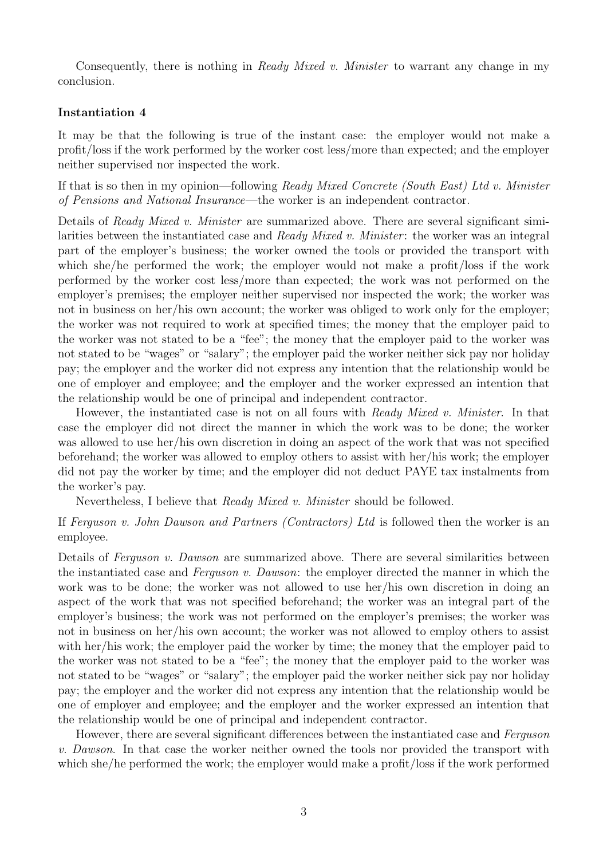Consequently, there is nothing in Ready Mixed v. Minister to warrant any change in my conclusion.

#### **Instantiation 4**

It may be that the following is true of the instant case: the employer would not make a profit/loss if the work performed by the worker cost less/more than expected; and the employer neither supervised nor inspected the work.

If that is so then in my opinion—following Ready Mixed Concrete (South East) Ltd v. Minister of Pensions and National Insurance—the worker is an independent contractor.

Details of Ready Mixed v. Minister are summarized above. There are several significant similarities between the instantiated case and Ready Mixed v. Minister: the worker was an integral part of the employer's business; the worker owned the tools or provided the transport with which she/he performed the work; the employer would not make a profit/loss if the work performed by the worker cost less/more than expected; the work was not performed on the employer's premises; the employer neither supervised nor inspected the work; the worker was not in business on her/his own account; the worker was obliged to work only for the employer; the worker was not required to work at specified times; the money that the employer paid to the worker was not stated to be a "fee"; the money that the employer paid to the worker was not stated to be "wages" or "salary"; the employer paid the worker neither sick pay nor holiday pay; the employer and the worker did not express any intention that the relationship would be one of employer and employee; and the employer and the worker expressed an intention that the relationship would be one of principal and independent contractor.

However, the instantiated case is not on all fours with Ready Mixed v. Minister. In that case the employer did not direct the manner in which the work was to be done; the worker was allowed to use her/his own discretion in doing an aspect of the work that was not specified beforehand; the worker was allowed to employ others to assist with her/his work; the employer did not pay the worker by time; and the employer did not deduct PAYE tax instalments from the worker's pay.

Nevertheless, I believe that Ready Mixed v. Minister should be followed.

## If Ferguson v. John Dawson and Partners (Contractors) Ltd is followed then the worker is an employee.

Details of Ferguson v. Dawson are summarized above. There are several similarities between the instantiated case and Ferguson v. Dawson: the employer directed the manner in which the work was to be done; the worker was not allowed to use her/his own discretion in doing an aspect of the work that was not specified beforehand; the worker was an integral part of the employer's business; the work was not performed on the employer's premises; the worker was not in business on her/his own account; the worker was not allowed to employ others to assist with her/his work; the employer paid the worker by time; the money that the employer paid to the worker was not stated to be a "fee"; the money that the employer paid to the worker was not stated to be "wages" or "salary"; the employer paid the worker neither sick pay nor holiday pay; the employer and the worker did not express any intention that the relationship would be one of employer and employee; and the employer and the worker expressed an intention that the relationship would be one of principal and independent contractor.

However, there are several significant differences between the instantiated case and Ferguson v. Dawson. In that case the worker neither owned the tools nor provided the transport with which she/he performed the work; the employer would make a profit/loss if the work performed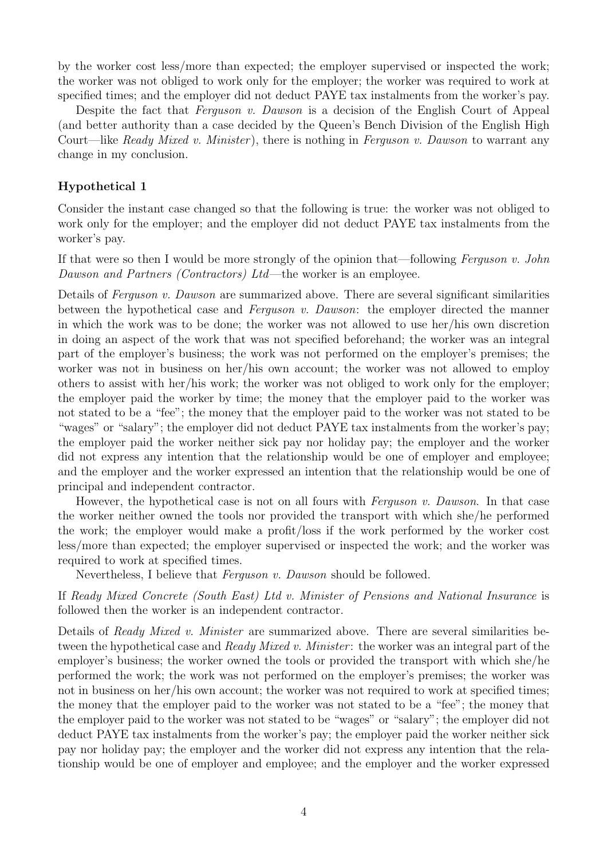by the worker cost less/more than expected; the employer supervised or inspected the work; the worker was not obliged to work only for the employer; the worker was required to work at specified times; and the employer did not deduct PAYE tax instalments from the worker's pay.

Despite the fact that Ferguson v. Dawson is a decision of the English Court of Appeal (and better authority than a case decided by the Queen's Bench Division of the English High Court—like Ready Mixed v. Minister), there is nothing in Ferguson v. Dawson to warrant any change in my conclusion.

#### **Hypothetical 1**

Consider the instant case changed so that the following is true: the worker was not obliged to work only for the employer; and the employer did not deduct PAYE tax instalments from the worker's pay.

If that were so then I would be more strongly of the opinion that—following Ferguson v. John Dawson and Partners (Contractors) Ltd—the worker is an employee.

Details of Ferguson v. Dawson are summarized above. There are several significant similarities between the hypothetical case and Ferguson v. Dawson: the employer directed the manner in which the work was to be done; the worker was not allowed to use her/his own discretion in doing an aspect of the work that was not specified beforehand; the worker was an integral part of the employer's business; the work was not performed on the employer's premises; the worker was not in business on her/his own account; the worker was not allowed to employ others to assist with her/his work; the worker was not obliged to work only for the employer; the employer paid the worker by time; the money that the employer paid to the worker was not stated to be a "fee"; the money that the employer paid to the worker was not stated to be "wages" or "salary"; the employer did not deduct PAYE tax instalments from the worker's pay; the employer paid the worker neither sick pay nor holiday pay; the employer and the worker did not express any intention that the relationship would be one of employer and employee; and the employer and the worker expressed an intention that the relationship would be one of principal and independent contractor.

However, the hypothetical case is not on all fours with *Ferguson v. Dawson*. In that case the worker neither owned the tools nor provided the transport with which she/he performed the work; the employer would make a profit/loss if the work performed by the worker cost less/more than expected; the employer supervised or inspected the work; and the worker was required to work at specified times.

Nevertheless, I believe that *Ferguson v. Dawson* should be followed.

If Ready Mixed Concrete (South East) Ltd v. Minister of Pensions and National Insurance is followed then the worker is an independent contractor.

Details of Ready Mixed v. Minister are summarized above. There are several similarities between the hypothetical case and Ready Mixed v. Minister: the worker was an integral part of the employer's business; the worker owned the tools or provided the transport with which she/he performed the work; the work was not performed on the employer's premises; the worker was not in business on her/his own account; the worker was not required to work at specified times; the money that the employer paid to the worker was not stated to be a "fee"; the money that the employer paid to the worker was not stated to be "wages" or "salary"; the employer did not deduct PAYE tax instalments from the worker's pay; the employer paid the worker neither sick pay nor holiday pay; the employer and the worker did not express any intention that the relationship would be one of employer and employee; and the employer and the worker expressed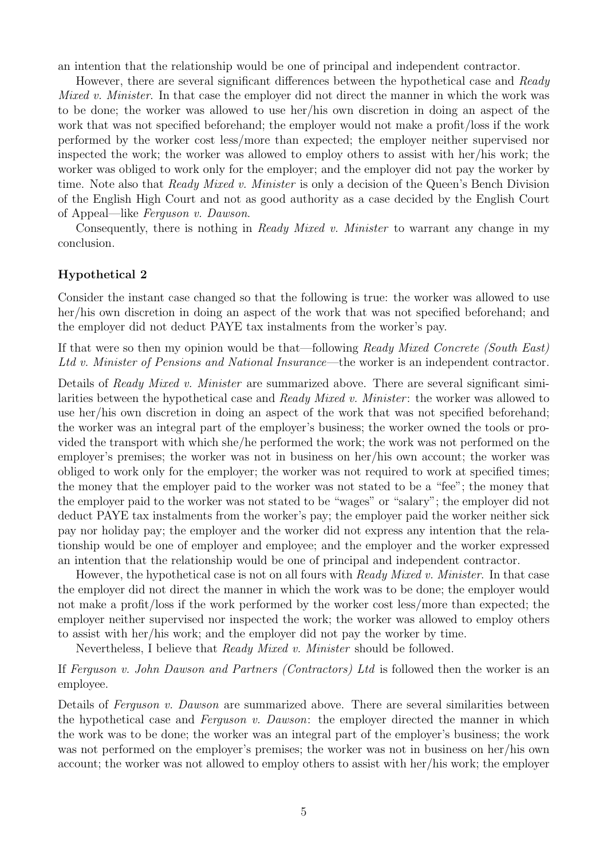an intention that the relationship would be one of principal and independent contractor.

However, there are several significant differences between the hypothetical case and Ready Mixed v. Minister. In that case the employer did not direct the manner in which the work was to be done; the worker was allowed to use her/his own discretion in doing an aspect of the work that was not specified beforehand; the employer would not make a profit/loss if the work performed by the worker cost less/more than expected; the employer neither supervised nor inspected the work; the worker was allowed to employ others to assist with her/his work; the worker was obliged to work only for the employer; and the employer did not pay the worker by time. Note also that *Ready Mixed v. Minister* is only a decision of the Queen's Bench Division of the English High Court and not as good authority as a case decided by the English Court of Appeal—like Ferguson v. Dawson.

Consequently, there is nothing in Ready Mixed v. Minister to warrant any change in my conclusion.

### **Hypothetical 2**

Consider the instant case changed so that the following is true: the worker was allowed to use her/his own discretion in doing an aspect of the work that was not specified beforehand; and the employer did not deduct PAYE tax instalments from the worker's pay.

If that were so then my opinion would be that—following Ready Mixed Concrete (South East) Ltd v. Minister of Pensions and National Insurance—the worker is an independent contractor.

Details of Ready Mixed v. Minister are summarized above. There are several significant similarities between the hypothetical case and Ready Mixed v. Minister: the worker was allowed to use her/his own discretion in doing an aspect of the work that was not specified beforehand; the worker was an integral part of the employer's business; the worker owned the tools or provided the transport with which she/he performed the work; the work was not performed on the employer's premises; the worker was not in business on her/his own account; the worker was obliged to work only for the employer; the worker was not required to work at specified times; the money that the employer paid to the worker was not stated to be a "fee"; the money that the employer paid to the worker was not stated to be "wages" or "salary"; the employer did not deduct PAYE tax instalments from the worker's pay; the employer paid the worker neither sick pay nor holiday pay; the employer and the worker did not express any intention that the relationship would be one of employer and employee; and the employer and the worker expressed an intention that the relationship would be one of principal and independent contractor.

However, the hypothetical case is not on all fours with Ready Mixed v. Minister. In that case the employer did not direct the manner in which the work was to be done; the employer would not make a profit/loss if the work performed by the worker cost less/more than expected; the employer neither supervised nor inspected the work; the worker was allowed to employ others to assist with her/his work; and the employer did not pay the worker by time.

Nevertheless, I believe that Ready Mixed v. Minister should be followed.

If Ferguson v. John Dawson and Partners (Contractors) Ltd is followed then the worker is an employee.

Details of Ferguson v. Dawson are summarized above. There are several similarities between the hypothetical case and *Ferguson v. Dawson*: the employer directed the manner in which the work was to be done; the worker was an integral part of the employer's business; the work was not performed on the employer's premises; the worker was not in business on her/his own account; the worker was not allowed to employ others to assist with her/his work; the employer